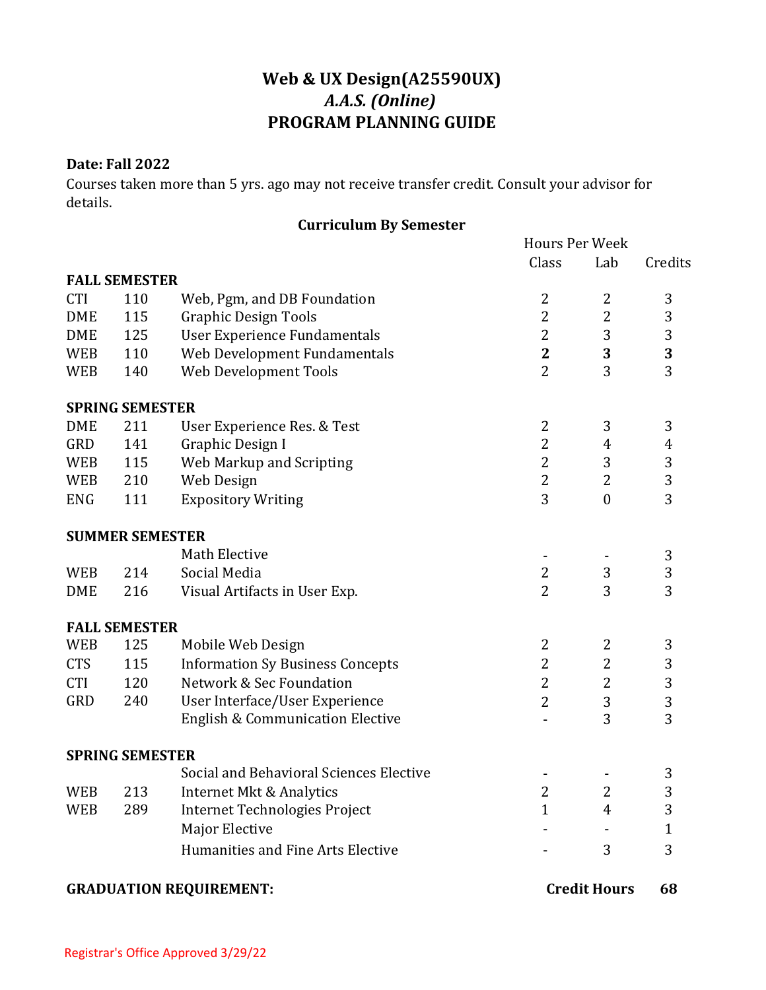## **Web & UX Design(A25590UX)** *A.A.S. (Online)* **PROGRAM PLANNING GUIDE**

## **Date: Fall 2022**

Courses taken more than 5 yrs. ago may not receive transfer credit. Consult your advisor for details.

## **Curriculum By Semester**

|                                |                        |                                             |                | <b>Hours Per Week</b> |              |  |
|--------------------------------|------------------------|---------------------------------------------|----------------|-----------------------|--------------|--|
|                                |                        |                                             | Class          | Lab                   | Credits      |  |
|                                | <b>FALL SEMESTER</b>   |                                             |                |                       |              |  |
| <b>CTI</b>                     | 110                    | Web, Pgm, and DB Foundation                 | $\overline{2}$ | 2                     | 3            |  |
| <b>DME</b>                     | 115                    | <b>Graphic Design Tools</b>                 | 2              | $\overline{2}$        | 3            |  |
| <b>DME</b>                     | 125                    | <b>User Experience Fundamentals</b>         | 2              | 3                     | 3            |  |
| <b>WEB</b>                     | 110                    | Web Development Fundamentals                | $\mathbf{2}$   | 3                     | 3            |  |
| <b>WEB</b>                     | 140                    | Web Development Tools                       | $\overline{2}$ | 3                     | 3            |  |
|                                | <b>SPRING SEMESTER</b> |                                             |                |                       |              |  |
| <b>DME</b>                     | 211                    | User Experience Res. & Test                 | $\overline{2}$ | 3                     | 3            |  |
| GRD                            | 141                    | Graphic Design I                            | $\overline{2}$ | 4                     | 4            |  |
| <b>WEB</b>                     | 115                    | Web Markup and Scripting                    | $\overline{2}$ | 3                     | 3            |  |
| <b>WEB</b>                     | 210                    | Web Design                                  | $\overline{2}$ | 2                     | 3            |  |
| <b>ENG</b>                     | 111                    | <b>Expository Writing</b>                   | 3              | $\boldsymbol{0}$      | 3            |  |
|                                | <b>SUMMER SEMESTER</b> |                                             |                |                       |              |  |
|                                |                        | Math Elective                               |                |                       | 3            |  |
| <b>WEB</b>                     | 214                    | Social Media                                | $\overline{2}$ | 3                     | 3            |  |
| <b>DME</b>                     | 216                    | Visual Artifacts in User Exp.               | $\overline{2}$ | 3                     | 3            |  |
|                                | <b>FALL SEMESTER</b>   |                                             |                |                       |              |  |
| <b>WEB</b>                     | 125                    | Mobile Web Design                           | $\overline{2}$ | 2                     | 3            |  |
| <b>CTS</b>                     | 115                    | <b>Information Sy Business Concepts</b>     | $\overline{2}$ | $\overline{2}$        | 3            |  |
| <b>CTI</b>                     | 120                    | Network & Sec Foundation                    | $\overline{2}$ | $\overline{2}$        | 3            |  |
| <b>GRD</b>                     | 240                    | User Interface/User Experience              | $\overline{2}$ | 3                     | 3            |  |
|                                |                        | <b>English &amp; Communication Elective</b> |                | 3                     | 3            |  |
|                                | <b>SPRING SEMESTER</b> |                                             |                |                       |              |  |
|                                |                        | Social and Behavioral Sciences Elective     |                |                       | 3            |  |
| <b>WEB</b>                     | 213                    | Internet Mkt & Analytics                    | 2              | 2                     | 3            |  |
| <b>WEB</b>                     | 289                    | Internet Technologies Project               | $\mathbf{1}$   | 4                     | 3            |  |
|                                |                        | <b>Major Elective</b>                       |                |                       | $\mathbf{1}$ |  |
|                                |                        | Humanities and Fine Arts Elective           |                | 3                     | 3            |  |
| <b>GRADUATION REQUIREMENT:</b> |                        |                                             |                | <b>Credit Hours</b>   |              |  |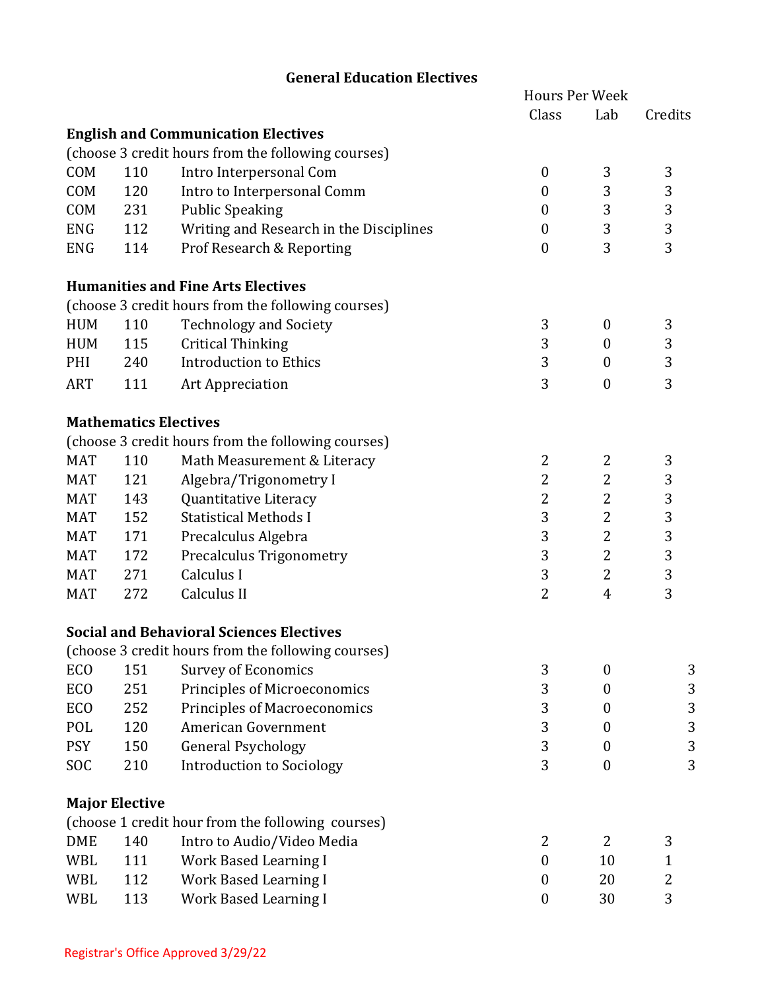|            |                       |                                                    | <b>Hours Per Week</b> |                  |                |  |
|------------|-----------------------|----------------------------------------------------|-----------------------|------------------|----------------|--|
|            |                       |                                                    | Class                 | Lab              | Credits        |  |
|            |                       | <b>English and Communication Electives</b>         |                       |                  |                |  |
|            |                       | (choose 3 credit hours from the following courses) |                       |                  |                |  |
| COM        | 110                   | Intro Interpersonal Com                            | $\boldsymbol{0}$      | 3                | 3              |  |
| COM        | 120                   | Intro to Interpersonal Comm                        | $\boldsymbol{0}$      | 3                | 3              |  |
| COM        | 231                   | <b>Public Speaking</b>                             | $\boldsymbol{0}$      | 3                | 3              |  |
| <b>ENG</b> | 112                   | Writing and Research in the Disciplines            | $\boldsymbol{0}$      | 3                | 3              |  |
| <b>ENG</b> | 114                   | Prof Research & Reporting                          | $\mathbf{0}$          | 3                | 3              |  |
|            |                       | <b>Humanities and Fine Arts Electives</b>          |                       |                  |                |  |
|            |                       | (choose 3 credit hours from the following courses) |                       |                  |                |  |
| <b>HUM</b> | 110                   | <b>Technology and Society</b>                      | 3                     | $\boldsymbol{0}$ | 3              |  |
| <b>HUM</b> | 115                   | <b>Critical Thinking</b>                           | 3                     | $\boldsymbol{0}$ | 3              |  |
| PHI        | 240                   | <b>Introduction to Ethics</b>                      | 3                     | $\boldsymbol{0}$ | 3              |  |
| <b>ART</b> | 111                   | Art Appreciation                                   | 3                     | $\boldsymbol{0}$ | 3              |  |
|            |                       | <b>Mathematics Electives</b>                       |                       |                  |                |  |
|            |                       | (choose 3 credit hours from the following courses) |                       |                  |                |  |
| <b>MAT</b> | 110                   | Math Measurement & Literacy                        | 2                     | 2                | 3              |  |
| <b>MAT</b> | 121                   | Algebra/Trigonometry I                             | 2                     | 2                | 3              |  |
| <b>MAT</b> | 143                   | Quantitative Literacy                              | $\overline{2}$        | 2                | 3              |  |
| <b>MAT</b> | 152                   | <b>Statistical Methods I</b>                       | 3                     | 2                | 3              |  |
| <b>MAT</b> | 171                   | Precalculus Algebra                                | 3                     | 2                | 3              |  |
| <b>MAT</b> | 172                   | Precalculus Trigonometry                           | 3                     | $\overline{2}$   | 3              |  |
| <b>MAT</b> | 271                   | Calculus I                                         | 3                     | 2                | 3              |  |
| <b>MAT</b> | 272                   | Calculus II                                        | $\overline{2}$        | $\overline{4}$   | 3              |  |
|            |                       | <b>Social and Behavioral Sciences Electives</b>    |                       |                  |                |  |
|            |                       | (choose 3 credit hours from the following courses) |                       |                  |                |  |
| ECO        | 151                   | <b>Survey of Economics</b>                         | 3                     | $\boldsymbol{0}$ | 3              |  |
| ECO        | 251                   | Principles of Microeconomics                       | 3                     | 0                | 3              |  |
| ECO        | 252                   | <b>Principles of Macroeconomics</b>                | 3                     | $\boldsymbol{0}$ | 3              |  |
| POL        | 120                   | American Government                                | 3                     | $\boldsymbol{0}$ | 3              |  |
| <b>PSY</b> | 150                   | <b>General Psychology</b>                          | 3                     | $\boldsymbol{0}$ | 3              |  |
| SOC        | 210                   | <b>Introduction to Sociology</b>                   | 3                     | $\boldsymbol{0}$ | 3              |  |
|            | <b>Major Elective</b> |                                                    |                       |                  |                |  |
|            |                       | (choose 1 credit hour from the following courses)  |                       |                  |                |  |
| <b>DME</b> | 140                   | Intro to Audio/Video Media                         | 2                     | 2                | 3              |  |
| WBL        | 111                   | <b>Work Based Learning I</b>                       | $\boldsymbol{0}$      | 10               | 1              |  |
| WBL        | 112                   | <b>Work Based Learning I</b>                       | $\boldsymbol{0}$      | 20               | $\overline{2}$ |  |
| WBL        | 113                   | <b>Work Based Learning I</b>                       | $\boldsymbol{0}$      | 30               | 3              |  |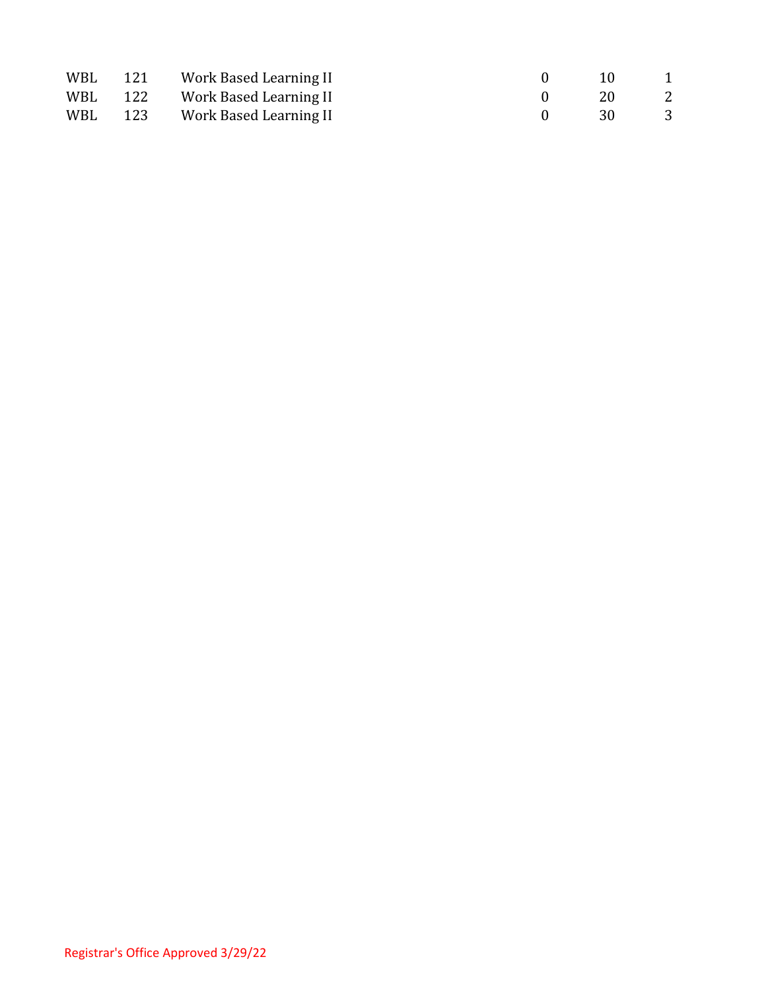| WBL | 121 | Work Based Learning II     | -10  |                |
|-----|-----|----------------------------|------|----------------|
| WBL |     | 122 Work Based Learning II | -20  | $\overline{2}$ |
| WBL |     | 123 Work Based Learning II | - 30 | - 3            |